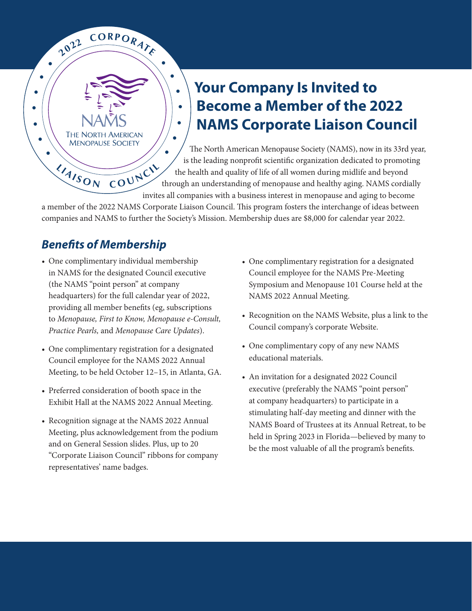## **Your Company Is Invited to Become a Member of the 2022 NAMS Corporate Liaison Council**

The North American Menopause Society (NAMS), now in its 33rd year, is the leading nonprofit scientific organization dedicated to promoting the health and quality of life of all women during midlife and beyond through an understanding of menopause and healthy aging. NAMS cordially invites all companies with a business interest in menopause and aging to become **•**

a member of the 2022 NAMS Corporate Liaison Council. This program fosters the interchange of ideas between companies and NAMS to further the Society's Mission. Membership dues are \$8,000 for calendar year 2022.

## *Benefits of Membership*

**<sup>L</sup> <sup>I</sup> <sup>A</sup><sup>I</sup> <sup>S</sup> <sup>O</sup> <sup>N</sup> <sup>C</sup> <sup>O</sup> <sup>U</sup> <sup>N</sup> <sup>C</sup> <sup>I</sup> <sup>L</sup>**

**THE NORTH AMERICAN MENOPAUSE SOCIETY** 

**2**  $\frac{10^{22}}{20^{22}}$  **CORPORATE** 

**•**

**•**

**• •**

**•**

**•**

**•**

**•**

**•**

**•**

**•• •**

- One complimentary individual membership in NAMS for the designated Council executive (the NAMS "point person" at company headquarters) for the full calendar year of 2022, providing all member benefits (eg, subscriptions to *Menopause, First to Know, Menopause e‑Consult, Practice Pearls,* and *Menopause Care Updates*).
- One complimentary registration for a designated Council employee for the NAMS 2022 Annual Meeting, to be held October 12–15, in Atlanta, GA.
- Preferred consideration of booth space in the Exhibit Hall at the NAMS 2022 Annual Meeting.
- Recognition signage at the NAMS 2022 Annual Meeting, plus acknowledgement from the podium and on General Session slides. Plus, up to 20 "Corporate Liaison Council" ribbons for company representatives' name badges.
- One complimentary registration for a designated Council employee for the NAMS Pre-Meeting Symposium and Menopause 101 Course held at the NAMS 2022 Annual Meeting.
- Recognition on the NAMS Website, plus a link to the Council company's corporate Website.
- One complimentary copy of any new NAMS educational materials.
- An invitation for a designated 2022 Council executive (preferably the NAMS "point person" at company headquarters) to participate in a stimulating half-day meeting and dinner with the NAMS Board of Trustees at its Annual Retreat, to be held in Spring 2023 in Florida—believed by many to be the most valuable of all the program's benefits.